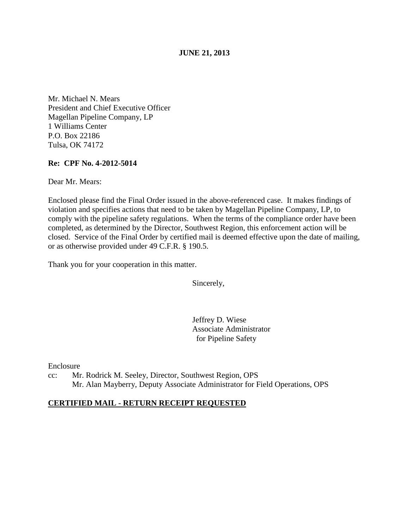## **JUNE 21, 2013**

Mr. Michael N. Mears President and Chief Executive Officer Magellan Pipeline Company, LP 1 Williams Center P.O. Box 22186 Tulsa, OK 74172

## **Re: CPF No. 4-2012-5014**

Dear Mr. Mears:

Enclosed please find the Final Order issued in the above-referenced case. It makes findings of violation and specifies actions that need to be taken by Magellan Pipeline Company, LP, to comply with the pipeline safety regulations. When the terms of the compliance order have been completed, as determined by the Director, Southwest Region, this enforcement action will be closed. Service of the Final Order by certified mail is deemed effective upon the date of mailing, or as otherwise provided under 49 C.F.R. § 190.5.

Thank you for your cooperation in this matter.

Sincerely,

Jeffrey D. Wiese Associate Administrator for Pipeline Safety

Enclosure

cc: Mr. Rodrick M. Seeley, Director, Southwest Region, OPS Mr. Alan Mayberry, Deputy Associate Administrator for Field Operations, OPS

## **CERTIFIED MAIL - RETURN RECEIPT REQUESTED**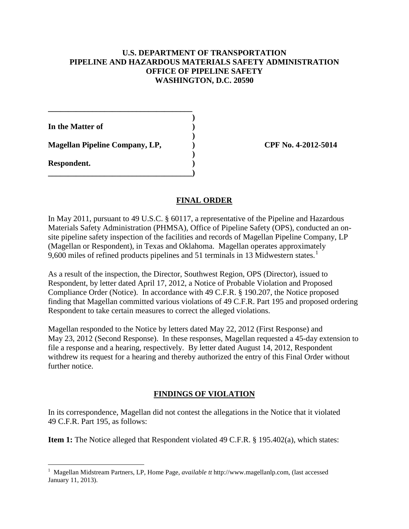## **U.S. DEPARTMENT OF TRANSPORTATION PIPELINE AND HAZARDOUS MATERIALS SAFETY ADMINISTRATION OFFICE OF PIPELINE SAFETY WASHINGTON, D.C. 20590**

**In the Matter of )** 

Magellan Pipeline Company, LP, (a) CPF No. 4-2012-5014

**\_\_\_\_\_\_\_\_\_\_\_\_\_\_\_\_\_\_\_\_\_\_\_\_\_\_\_\_\_\_\_\_\_\_\_\_ )** 

 **)** 

 **)** 

**\_\_\_\_\_\_\_\_\_\_\_\_\_\_\_\_\_\_\_\_\_\_\_\_\_\_\_\_\_\_\_\_\_\_\_\_)** 

**Respondent. )** 

# **FINAL ORDER**

In May 2011, pursuant to 49 U.S.C. § 60117, a representative of the Pipeline and Hazardous Materials Safety Administration (PHMSA), Office of Pipeline Safety (OPS), conducted an onsite pipeline safety inspection of the facilities and records of Magellan Pipeline Company, LP (Magellan or Respondent), in Texas and Oklahoma. Magellan operates approximately 9,600 miles of refined products pipelines and 51 terminals in 13 Midwestern states.<sup>1</sup>

As a result of the inspection, the Director, Southwest Region, OPS (Director), issued to Respondent, by letter dated April 17, 2012, a Notice of Probable Violation and Proposed Compliance Order (Notice). In accordance with 49 C.F.R. § 190.207, the Notice proposed finding that Magellan committed various violations of 49 C.F.R. Part 195 and proposed ordering Respondent to take certain measures to correct the alleged violations.

Magellan responded to the Notice by letters dated May 22, 2012 (First Response) and May 23, 2012 (Second Response). In these responses, Magellan requested a 45-day extension to file a response and a hearing, respectively. By letter dated August 14, 2012, Respondent withdrew its request for a hearing and thereby authorized the entry of this Final Order without further notice.

# **FINDINGS OF VIOLATION**

In its correspondence, Magellan did not contest the allegations in the Notice that it violated 49 C.F.R. Part 195, as follows:

**Item 1:** The Notice alleged that Respondent violated 49 C.F.R. § 195.402(a), which states:

 $\overline{a}$ <sup>1</sup> Magellan Midstream Partners, LP, Home Page, *available tt* http://www.magellanlp.com, (last accessed January 11, 2013).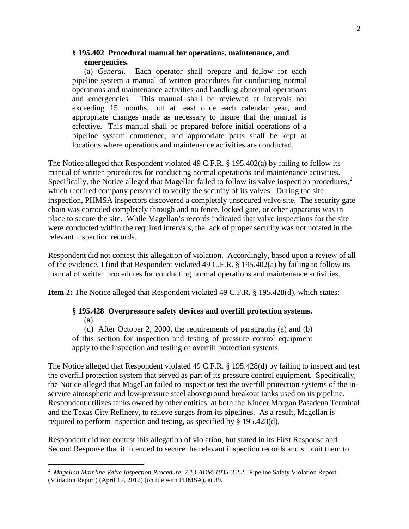#### **§ 195.402 Procedural manual for operations, maintenance, and emergencies.**

(a) *General.* Each operator shall prepare and follow for each pipeline system a manual of written procedures for conducting normal operations and maintenance activities and handling abnormal operations and emergencies. This manual shall be reviewed at intervals not exceeding 15 months, but at least once each calendar year, and appropriate changes made as necessary to insure that the manual is effective. This manual shall be prepared before initial operations of a pipeline system commence, and appropriate parts shall be kept at locations where operations and maintenance activities are conducted.

The Notice alleged that Respondent violated 49 C.F.R. § 195.402(a) by failing to follow its manual of written procedures for conducting normal operations and maintenance activities. Specifically, the Notice alleged that Magellan failed to follow its valve inspection procedures,<sup>2</sup> which required company personnel to verify the security of its valves. During the site inspection, PHMSA inspectors discovered a completely unsecured valve site. The security gate chain was corroded completely through and no fence, locked gate, or other apparatus was in place to secure the site. While Magellan's records indicated that valve inspections for the site were conducted within the required intervals, the lack of proper security was not notated in the relevant inspection records.

Respondent did not contest this allegation of violation. Accordingly, based upon a review of all of the evidence, I find that Respondent violated 49 C.F.R. § 195.402(a) by failing to follow its manual of written procedures for conducting normal operations and maintenance activities.

**Item 2:** The Notice alleged that Respondent violated 49 C.F.R. § 195.428(d), which states:

#### **§ 195.428 Overpressure safety devices and overfill protection systems.**

 $(a) \ldots$ 

(d) After October 2, 2000, the requirements of paragraphs (a) and (b) of this section for inspection and testing of pressure control equipment apply to the inspection and testing of overfill protection systems.

The Notice alleged that Respondent violated 49 C.F.R. § 195.428(d) by failing to inspect and test the overfill protection system that served as part of its pressure control equipment. Specifically, the Notice alleged that Magellan failed to inspect or test the overfill protection systems of the inservice atmospheric and low-pressure steel aboveground breakout tanks used on its pipeline. Respondent utilizes tanks owned by other entities, at both the Kinder Morgan Pasadena Terminal and the Texas City Refinery, to relieve surges from its pipelines. As a result, Magellan is required to perform inspection and testing, as specified by § 195.428(d).

Respondent did not contest this allegation of violation, but stated in its First Response and Second Response that it intended to secure the relevant inspection records and submit them to

 2 *Magellan Mainline Valve Inspection Procedure, 7.13-ADM-1035-3.2.2.* Pipeline Safety Violation Report (Violation Report) (April 17, 2012) (on file with PHMSA), at 39.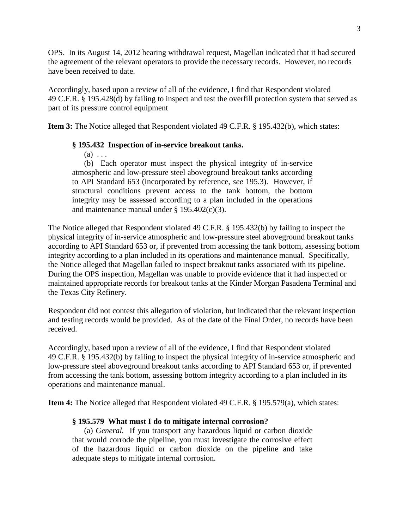OPS. In its August 14, 2012 hearing withdrawal request, Magellan indicated that it had secured the agreement of the relevant operators to provide the necessary records. However, no records have been received to date.

Accordingly, based upon a review of all of the evidence, I find that Respondent violated 49 C.F.R. § 195.428(d) by failing to inspect and test the overfill protection system that served as part of its pressure control equipment

**Item 3:** The Notice alleged that Respondent violated 49 C.F.R. § 195.432(b), which states:

# **§ 195.432 Inspection of in-service breakout tanks.**

 $(a) \ldots$ 

(b) Each operator must inspect the physical integrity of in-service atmospheric and low-pressure steel aboveground breakout tanks according to API Standard 653 (incorporated by reference, *see* 195.3). However, if structural conditions prevent access to the tank bottom, the bottom integrity may be assessed according to a plan included in the operations and maintenance manual under § 195.402(c)(3).

The Notice alleged that Respondent violated 49 C.F.R. § 195.432(b) by failing to inspect the physical integrity of in-service atmospheric and low-pressure steel aboveground breakout tanks according to API Standard 653 or, if prevented from accessing the tank bottom, assessing bottom integrity according to a plan included in its operations and maintenance manual. Specifically, the Notice alleged that Magellan failed to inspect breakout tanks associated with its pipeline. During the OPS inspection, Magellan was unable to provide evidence that it had inspected or maintained appropriate records for breakout tanks at the Kinder Morgan Pasadena Terminal and the Texas City Refinery.

Respondent did not contest this allegation of violation, but indicated that the relevant inspection and testing records would be provided. As of the date of the Final Order, no records have been received.

Accordingly, based upon a review of all of the evidence, I find that Respondent violated 49 C.F.R. § 195.432(b) by failing to inspect the physical integrity of in-service atmospheric and low-pressure steel aboveground breakout tanks according to API Standard 653 or, if prevented from accessing the tank bottom, assessing bottom integrity according to a plan included in its operations and maintenance manual.

**Item 4:** The Notice alleged that Respondent violated 49 C.F.R. § 195.579(a), which states:

## **§ 195.579 What must I do to mitigate internal corrosion?**

(a) *General.* If you transport any hazardous liquid or carbon dioxide that would corrode the pipeline, you must investigate the corrosive effect of the hazardous liquid or carbon dioxide on the pipeline and take adequate steps to mitigate internal corrosion.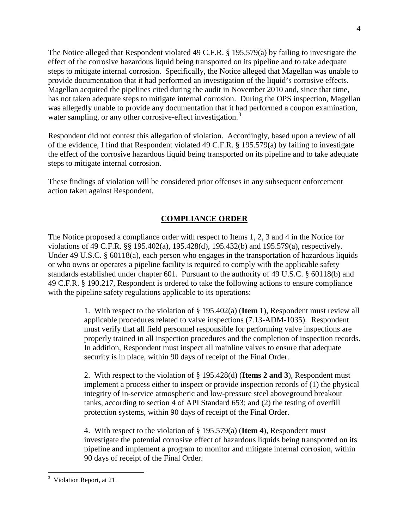The Notice alleged that Respondent violated 49 C.F.R. § 195.579(a) by failing to investigate the effect of the corrosive hazardous liquid being transported on its pipeline and to take adequate steps to mitigate internal corrosion. Specifically, the Notice alleged that Magellan was unable to provide documentation that it had performed an investigation of the liquid's corrosive effects. Magellan acquired the pipelines cited during the audit in November 2010 and, since that time, has not taken adequate steps to mitigate internal corrosion. During the OPS inspection, Magellan was allegedly unable to provide any documentation that it had performed a coupon examination, water sampling, or any other corrosive-effect investigation.<sup>3</sup>

Respondent did not contest this allegation of violation. Accordingly, based upon a review of all of the evidence, I find that Respondent violated 49 C.F.R. § 195.579(a) by failing to investigate the effect of the corrosive hazardous liquid being transported on its pipeline and to take adequate steps to mitigate internal corrosion.

These findings of violation will be considered prior offenses in any subsequent enforcement action taken against Respondent.

# **COMPLIANCE ORDER**

The Notice proposed a compliance order with respect to Items 1, 2, 3 and 4 in the Notice for violations of 49 C.F.R. §§ 195.402(a), 195.428(d), 195.432(b) and 195.579(a), respectively. Under 49 U.S.C. § 60118(a), each person who engages in the transportation of hazardous liquids or who owns or operates a pipeline facility is required to comply with the applicable safety standards established under chapter 601. Pursuant to the authority of 49 U.S.C. § 60118(b) and 49 C.F.R. § 190.217, Respondent is ordered to take the following actions to ensure compliance with the pipeline safety regulations applicable to its operations:

> 1. With respect to the violation of § 195.402(a) (**Item 1**), Respondent must review all applicable procedures related to valve inspections (7.13-ADM-1035). Respondent must verify that all field personnel responsible for performing valve inspections are properly trained in all inspection procedures and the completion of inspection records. In addition, Respondent must inspect all mainline valves to ensure that adequate security is in place, within 90 days of receipt of the Final Order.

> 2. With respect to the violation of § 195.428(d) (**Items 2 and 3**), Respondent must implement a process either to inspect or provide inspection records of (1) the physical integrity of in-service atmospheric and low-pressure steel aboveground breakout tanks, according to section 4 of API Standard 653; and (2) the testing of overfill protection systems, within 90 days of receipt of the Final Order.

> 4. With respect to the violation of § 195.579(a) (**Item 4**), Respondent must investigate the potential corrosive effect of hazardous liquids being transported on its pipeline and implement a program to monitor and mitigate internal corrosion, within 90 days of receipt of the Final Order.

 $\overline{a}$ <sup>3</sup> Violation Report, at 21.